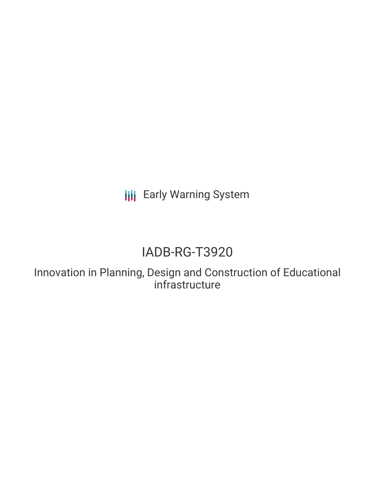**III** Early Warning System

# IADB-RG-T3920

Innovation in Planning, Design and Construction of Educational infrastructure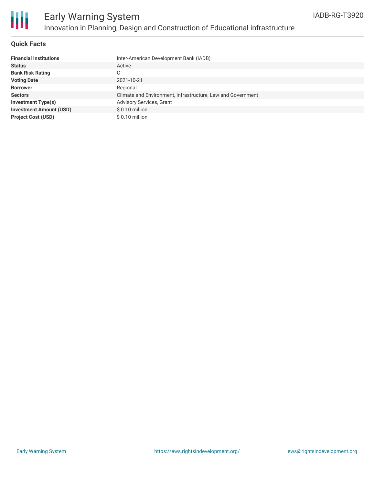

### **Quick Facts**

| <b>Financial Institutions</b>  | Inter-American Development Bank (IADB)                      |
|--------------------------------|-------------------------------------------------------------|
| <b>Status</b>                  | Active                                                      |
| <b>Bank Risk Rating</b>        | С                                                           |
| <b>Voting Date</b>             | 2021-10-21                                                  |
| <b>Borrower</b>                | Regional                                                    |
| <b>Sectors</b>                 | Climate and Environment, Infrastructure, Law and Government |
| <b>Investment Type(s)</b>      | <b>Advisory Services, Grant</b>                             |
| <b>Investment Amount (USD)</b> | $$0.10$ million                                             |
| <b>Project Cost (USD)</b>      | $$0.10$ million                                             |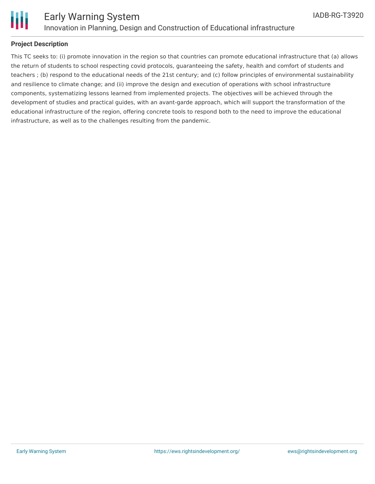

### **Project Description**

This TC seeks to: (i) promote innovation in the region so that countries can promote educational infrastructure that (a) allows the return of students to school respecting covid protocols, guaranteeing the safety, health and comfort of students and teachers ; (b) respond to the educational needs of the 21st century; and (c) follow principles of environmental sustainability and resilience to climate change; and (ii) improve the design and execution of operations with school infrastructure components, systematizing lessons learned from implemented projects. The objectives will be achieved through the development of studies and practical guides, with an avant-garde approach, which will support the transformation of the educational infrastructure of the region, offering concrete tools to respond both to the need to improve the educational infrastructure, as well as to the challenges resulting from the pandemic.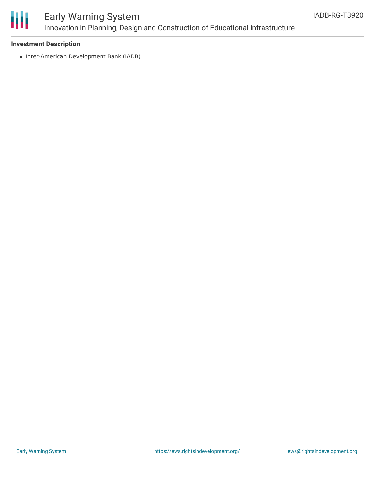

## Early Warning System Innovation in Planning, Design and Construction of Educational infrastructure

### **Investment Description**

• Inter-American Development Bank (IADB)